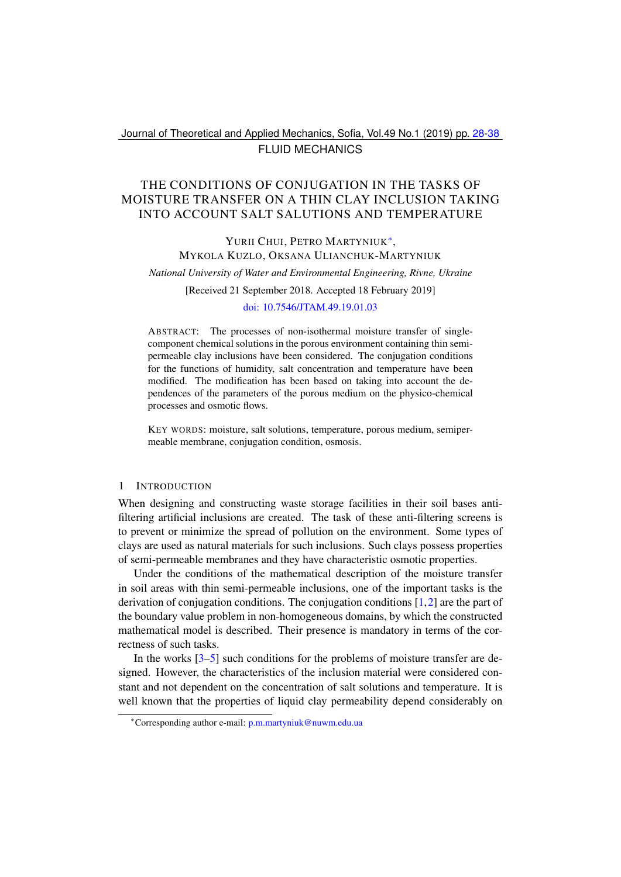## Journal of Theoretical and Applied Mechanics, Sofia, Vol.49 No.1 (2019) pp. [28](#page-0-0)[-38](#page-10-0) FLUID MECHANICS

# <span id="page-0-0"></span>THE CONDITIONS OF CONJUGATION IN THE TASKS OF MOISTURE TRANSFER ON A THIN CLAY INCLUSION TAKING INTO ACCOUNT SALT SALUTIONS AND TEMPERATURE

# YURII CHUI, PETRO MARTYNIUK<sup>\*</sup>, MYKOLA KUZLO, OKSANA ULIANCHUK-MARTYNIUK

*National University of Water and Environmental Engineering, Rivne, Ukraine*

[Received 21 September 2018. Accepted 18 February 2019]

### [doi: 10.7546/JTAM.49.19.01.03](https://doi.org/10.7546/JTAM.49.19.01.03)

ABSTRACT: The processes of non-isothermal moisture transfer of singlecomponent chemical solutions in the porous environment containing thin semipermeable clay inclusions have been considered. The conjugation conditions for the functions of humidity, salt concentration and temperature have been modified. The modification has been based on taking into account the dependences of the parameters of the porous medium on the physico-chemical processes and osmotic flows.

KEY WORDS: moisture, salt solutions, temperature, porous medium, semipermeable membrane, conjugation condition, osmosis.

## 1 INTRODUCTION

When designing and constructing waste storage facilities in their soil bases antifiltering artificial inclusions are created. The task of these anti-filtering screens is to prevent or minimize the spread of pollution on the environment. Some types of clays are used as natural materials for such inclusions. Such clays possess properties of semi-permeable membranes and they have characteristic osmotic properties.

Under the conditions of the mathematical description of the moisture transfer in soil areas with thin semi-permeable inclusions, one of the important tasks is the derivation of conjugation conditions. The conjugation conditions [\[1,](#page-8-0)[2\]](#page-8-1) are the part of the boundary value problem in non-homogeneous domains, by which the constructed mathematical model is described. Their presence is mandatory in terms of the correctness of such tasks.

In the works  $\left[3\text{-}5\right]$  $\left[3\text{-}5\right]$  $\left[3\text{-}5\right]$  such conditions for the problems of moisture transfer are designed. However, the characteristics of the inclusion material were considered constant and not dependent on the concentration of salt solutions and temperature. It is well known that the properties of liquid clay permeability depend considerably on

<span id="page-0-1"></span><sup>∗</sup>Corresponding author e-mail: [p.m.martyniuk@nuwm.edu.ua](mailto:p.m.martyniuk@nuwm.edu.ua)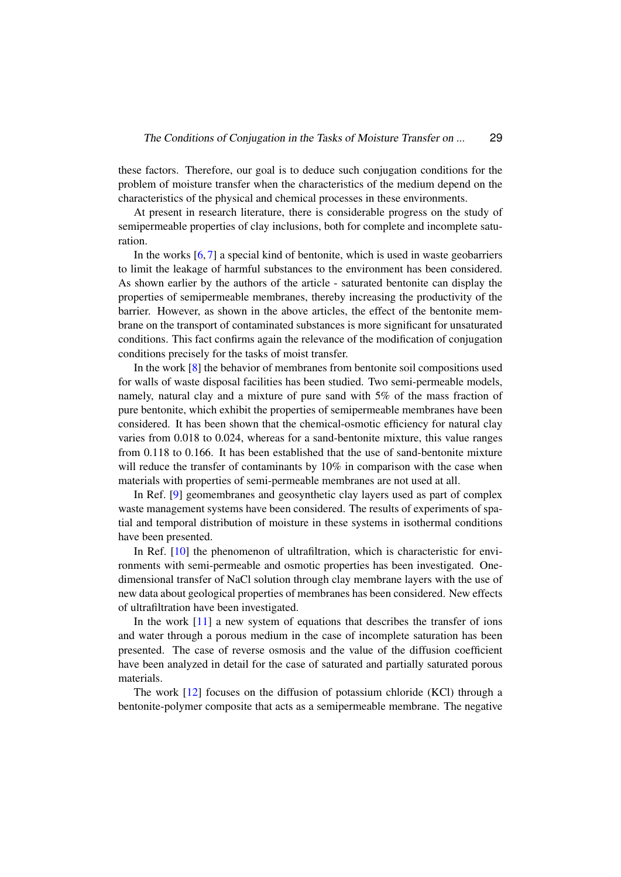these factors. Therefore, our goal is to deduce such conjugation conditions for the problem of moisture transfer when the characteristics of the medium depend on the characteristics of the physical and chemical processes in these environments.

At present in research literature, there is considerable progress on the study of semipermeable properties of clay inclusions, both for complete and incomplete saturation.

In the works  $[6, 7]$  $[6, 7]$  $[6, 7]$  a special kind of bentonite, which is used in waste geobarriers to limit the leakage of harmful substances to the environment has been considered. As shown earlier by the authors of the article - saturated bentonite can display the properties of semipermeable membranes, thereby increasing the productivity of the barrier. However, as shown in the above articles, the effect of the bentonite membrane on the transport of contaminated substances is more significant for unsaturated conditions. This fact confirms again the relevance of the modification of conjugation conditions precisely for the tasks of moist transfer.

In the work [\[8\]](#page-8-6) the behavior of membranes from bentonite soil compositions used for walls of waste disposal facilities has been studied. Two semi-permeable models, namely, natural clay and a mixture of pure sand with 5% of the mass fraction of pure bentonite, which exhibit the properties of semipermeable membranes have been considered. It has been shown that the chemical-osmotic efficiency for natural clay varies from 0.018 to 0.024, whereas for a sand-bentonite mixture, this value ranges from 0.118 to 0.166. It has been established that the use of sand-bentonite mixture will reduce the transfer of contaminants by 10% in comparison with the case when materials with properties of semi-permeable membranes are not used at all.

In Ref. [\[9\]](#page-9-0) geomembranes and geosynthetic clay layers used as part of complex waste management systems have been considered. The results of experiments of spatial and temporal distribution of moisture in these systems in isothermal conditions have been presented.

In Ref. [\[10\]](#page-9-1) the phenomenon of ultrafiltration, which is characteristic for environments with semi-permeable and osmotic properties has been investigated. Onedimensional transfer of NaCl solution through clay membrane layers with the use of new data about geological properties of membranes has been considered. New effects of ultrafiltration have been investigated.

In the work [\[11\]](#page-9-2) a new system of equations that describes the transfer of ions and water through a porous medium in the case of incomplete saturation has been presented. The case of reverse osmosis and the value of the diffusion coefficient have been analyzed in detail for the case of saturated and partially saturated porous materials.

The work [\[12\]](#page-9-3) focuses on the diffusion of potassium chloride (KCl) through a bentonite-polymer composite that acts as a semipermeable membrane. The negative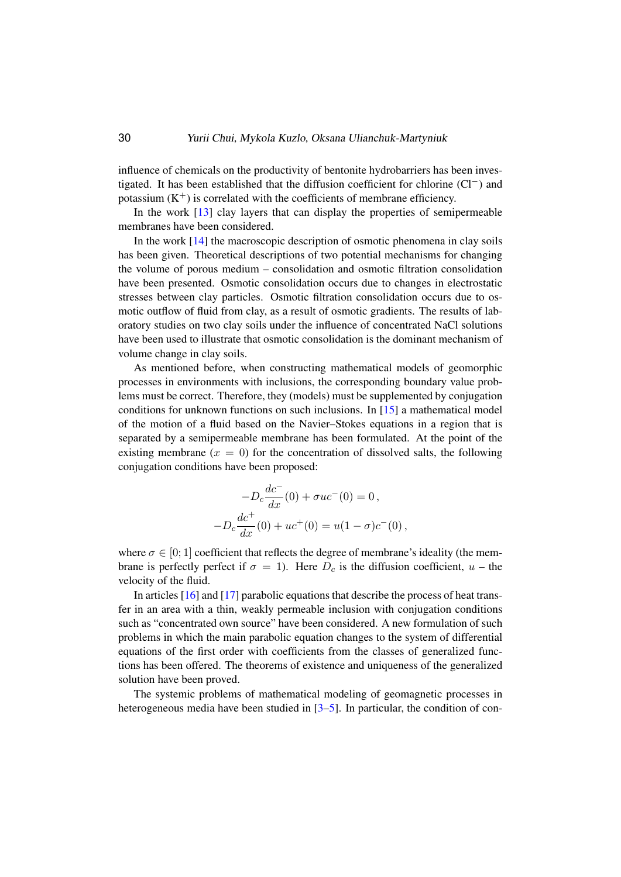influence of chemicals on the productivity of bentonite hydrobarriers has been investigated. It has been established that the diffusion coefficient for chlorine (Cl−) and potassium  $(K^+)$  is correlated with the coefficients of membrane efficiency.

In the work [\[13\]](#page-9-4) clay layers that can display the properties of semipermeable membranes have been considered.

In the work  $[14]$  the macroscopic description of osmotic phenomena in clay soils has been given. Theoretical descriptions of two potential mechanisms for changing the volume of porous medium – consolidation and osmotic filtration consolidation have been presented. Osmotic consolidation occurs due to changes in electrostatic stresses between clay particles. Osmotic filtration consolidation occurs due to osmotic outflow of fluid from clay, as a result of osmotic gradients. The results of laboratory studies on two clay soils under the influence of concentrated NaCl solutions have been used to illustrate that osmotic consolidation is the dominant mechanism of volume change in clay soils.

As mentioned before, when constructing mathematical models of geomorphic processes in environments with inclusions, the corresponding boundary value problems must be correct. Therefore, they (models) must be supplemented by conjugation conditions for unknown functions on such inclusions. In [\[15\]](#page-9-6) a mathematical model of the motion of a fluid based on the Navier–Stokes equations in a region that is separated by a semipermeable membrane has been formulated. At the point of the existing membrane ( $x = 0$ ) for the concentration of dissolved salts, the following conjugation conditions have been proposed:

$$
-D_c \frac{dc^{-}}{dx}(0) + \sigma uc^{-}(0) = 0,
$$
  

$$
-D_c \frac{dc^{+}}{dx}(0) + uc^{+}(0) = u(1 - \sigma)c^{-}(0),
$$

where  $\sigma \in [0; 1]$  coefficient that reflects the degree of membrane's ideality (the membrane is perfectly perfect if  $\sigma = 1$ ). Here  $D_c$  is the diffusion coefficient,  $u$  – the velocity of the fluid.

In articles [\[16\]](#page-9-7) and [\[17\]](#page-9-8) parabolic equations that describe the process of heat transfer in an area with a thin, weakly permeable inclusion with conjugation conditions such as "concentrated own source" have been considered. A new formulation of such problems in which the main parabolic equation changes to the system of differential equations of the first order with coefficients from the classes of generalized functions has been offered. The theorems of existence and uniqueness of the generalized solution have been proved.

The systemic problems of mathematical modeling of geomagnetic processes in heterogeneous media have been studied in [\[3–](#page-8-2)[5\]](#page-8-3). In particular, the condition of con-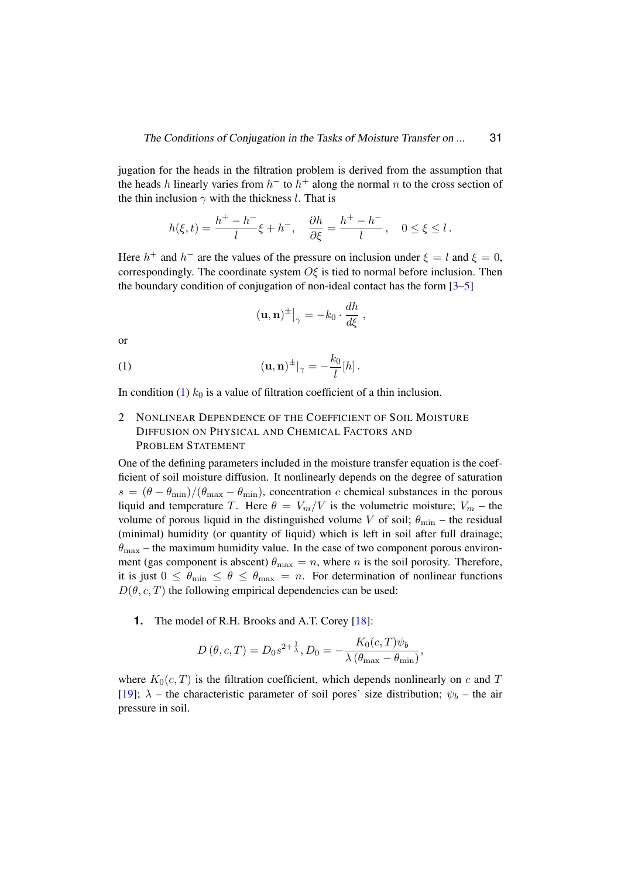jugation for the heads in the filtration problem is derived from the assumption that the heads h linearly varies from  $h^-$  to  $h^+$  along the normal n to the cross section of the thin inclusion  $\gamma$  with the thickness l. That is

$$
h(\xi,t)=\frac{h^+-h^-}{l}\xi+h^-,\quad \frac{\partial h}{\partial\xi}=\frac{h^+-h^-}{l}\,,\quad 0\leq\xi\leq l\,.
$$

Here  $h^+$  and  $h^-$  are the values of the pressure on inclusion under  $\xi = l$  and  $\xi = 0$ , correspondingly. The coordinate system  $\overline{O}\xi$  is tied to normal before inclusion. Then the boundary condition of conjugation of non-ideal contact has the form [\[3–](#page-8-2)[5\]](#page-8-3)

<span id="page-3-0"></span>
$$
(\mathbf{u},\mathbf{n})^{\pm}\big|_{\gamma} = -k_0 \cdot \frac{dh}{d\xi} \;,
$$

or

(1) 
$$
(\mathbf{u}, \mathbf{n})^{\pm}|_{\gamma} = -\frac{k_0}{l}[h].
$$

In condition [\(1\)](#page-3-0)  $k_0$  is a value of filtration coefficient of a thin inclusion.

# 2 NONLINEAR DEPENDENCE OF THE COEFFICIENT OF SOIL MOISTURE DIFFUSION ON PHYSICAL AND CHEMICAL FACTORS AND PROBLEM STATEMENT

One of the defining parameters included in the moisture transfer equation is the coefficient of soil moisture diffusion. It nonlinearly depends on the degree of saturation  $s = (\theta - \theta_{\min})/(\theta_{\max} - \theta_{\min})$ , concentration c chemical substances in the porous liquid and temperature T. Here  $\theta = V_m/V$  is the volumetric moisture;  $V_m$  – the volume of porous liquid in the distinguished volume V of soil;  $\theta_{\text{min}}$  – the residual (minimal) humidity (or quantity of liquid) which is left in soil after full drainage;  $\theta_{\text{max}}$  – the maximum humidity value. In the case of two component porous environment (gas component is abscent)  $\theta_{\text{max}} = n$ , where *n* is the soil porosity. Therefore, it is just  $0 \le \theta_{\min} \le \theta \le \theta_{\max} = n$ . For determination of nonlinear functions  $D(\theta, c, T)$  the following empirical dependencies can be used:

**1.** The model of R.H. Brooks and A.T. Corey [\[18\]](#page-9-9):

$$
D(\theta, c, T) = D_0 s^{2 + \frac{1}{\lambda}}, D_0 = -\frac{K_0(c, T)\psi_b}{\lambda (\theta_{\text{max}} - \theta_{\text{min}})},
$$

where  $K_0(c, T)$  is the filtration coefficient, which depends nonlinearly on c and T [\[19\]](#page-9-10);  $\lambda$  – the characteristic parameter of soil pores' size distribution;  $\psi_b$  – the air pressure in soil.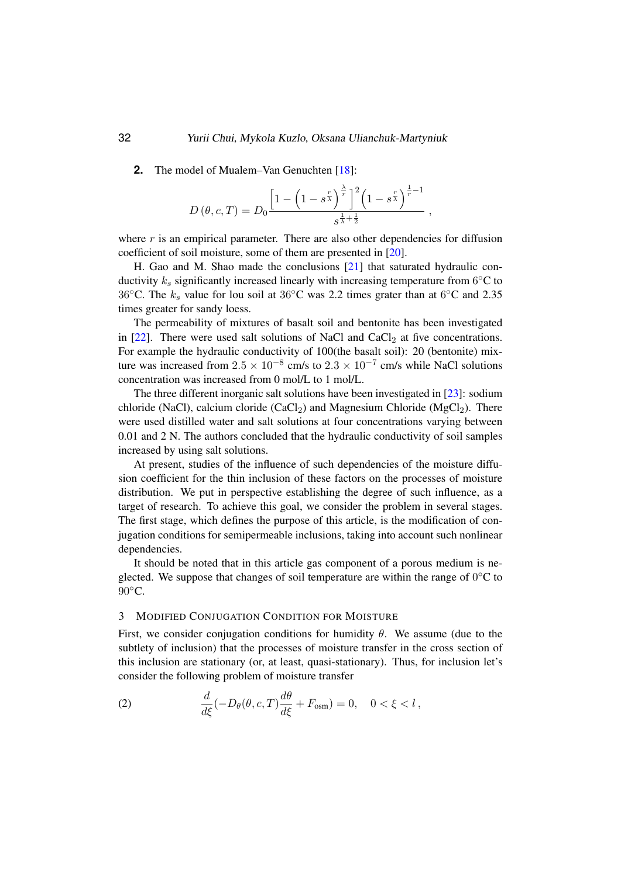**2.** The model of Mualem–Van Genuchten [\[18\]](#page-9-9):

$$
D(\theta, c, T) = D_0 \frac{\left[1 - \left(1 - s^{\frac{r}{\lambda}}\right)^{\frac{\lambda}{r}}\right]^2 \left(1 - s^{\frac{r}{\lambda}}\right)^{\frac{1}{r} - 1}}{s^{\frac{1}{\lambda} + \frac{1}{2}}},
$$

where  $r$  is an empirical parameter. There are also other dependencies for diffusion coefficient of soil moisture, some of them are presented in [\[20\]](#page-9-11).

H. Gao and M. Shao made the conclusions [\[21\]](#page-9-12) that saturated hydraulic conductivity  $k_s$  significantly increased linearly with increasing temperature from 6°C to 36 $°C$ . The  $k_s$  value for lou soil at 36 $°C$  was 2.2 times grater than at 6 $°C$  and 2.35 times greater for sandy loess.

The permeability of mixtures of basalt soil and bentonite has been investigated in  $[22]$ . There were used salt solutions of NaCl and CaCl<sub>2</sub> at five concentrations. For example the hydraulic conductivity of 100(the basalt soil): 20 (bentonite) mixture was increased from  $2.5 \times 10^{-8}$  cm/s to  $2.3 \times 10^{-7}$  cm/s while NaCl solutions concentration was increased from 0 mol/L to 1 mol/L.

The three different inorganic salt solutions have been investigated in [\[23\]](#page-9-14): sodium chloride (NaCl), calcium cloride (CaCl<sub>2</sub>) and Magnesium Chloride (MgCl<sub>2</sub>). There were used distilled water and salt solutions at four concentrations varying between 0.01 and 2 N. The authors concluded that the hydraulic conductivity of soil samples increased by using salt solutions.

At present, studies of the influence of such dependencies of the moisture diffusion coefficient for the thin inclusion of these factors on the processes of moisture distribution. We put in perspective establishing the degree of such influence, as a target of research. To achieve this goal, we consider the problem in several stages. The first stage, which defines the purpose of this article, is the modification of conjugation conditions for semipermeable inclusions, taking into account such nonlinear dependencies.

It should be noted that in this article gas component of a porous medium is neglected. We suppose that changes of soil temperature are within the range of  $0^{\circ}$ C to  $90^{\circ}$ C.

#### 3 MODIFIED CONJUGATION CONDITION FOR MOISTURE

First, we consider conjugation conditions for humidity  $\theta$ . We assume (due to the subtlety of inclusion) that the processes of moisture transfer in the cross section of this inclusion are stationary (or, at least, quasi-stationary). Thus, for inclusion let's consider the following problem of moisture transfer

<span id="page-4-0"></span>(2) 
$$
\frac{d}{d\xi}(-D_{\theta}(\theta, c, T)\frac{d\theta}{d\xi} + F_{\text{osm}}) = 0, \quad 0 < \xi < l,
$$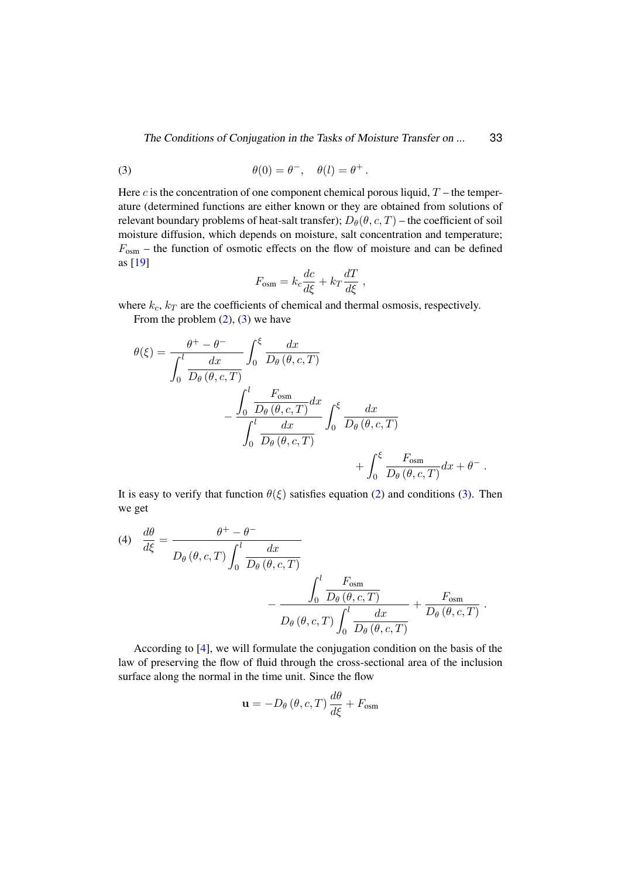The Conditions of Conjugation in the Tasks of Moisture Transfer on ... 33

<span id="page-5-0"></span>(3) 
$$
\theta(0) = \theta^-, \quad \theta(l) = \theta^+.
$$

Here c is the concentration of one component chemical porous liquid,  $T$  – the temperature (determined functions are either known or they are obtained from solutions of relevant boundary problems of heat-salt transfer);  $D_{\theta}(\theta, c, T)$  – the coefficient of soil moisture diffusion, which depends on moisture, salt concentration and temperature;  $F_{\text{osm}}$  – the function of osmotic effects on the flow of moisture and can be defined as [\[19\]](#page-9-10)

$$
F_{\text{osm}} = k_c \frac{dc}{d\xi} + k_T \frac{dT}{d\xi} ,
$$

where  $k_c$ ,  $k_T$  are the coefficients of chemical and thermal osmosis, respectively.

From the problem  $(2)$ ,  $(3)$  we have

$$
\theta(\xi) = \frac{\theta^+ - \theta^-}{\int_0^l \frac{dx}{D_\theta(\theta, c, T)}} \int_0^\xi \frac{dx}{D_\theta(\theta, c, T)} \n- \frac{\int_0^l \frac{F_{\text{osm}}}{D_\theta(\theta, c, T)} dx}{\int_0^l \frac{dx}{D_\theta(\theta, c, T)}} \int_0^\xi \frac{dx}{D_\theta(\theta, c, T)} \n+ \int_0^\xi \frac{F_{\text{osm}}}{D_\theta(\theta, c, T)} dx + \theta^-.
$$

It is easy to verify that function  $\theta(\xi)$  satisfies equation [\(2\)](#page-4-0) and conditions [\(3\)](#page-5-0). Then we get

<span id="page-5-1"></span>(4) 
$$
\frac{d\theta}{d\xi} = \frac{\theta^+ - \theta^-}{D_\theta(\theta, c, T) \int_0^l \frac{dx}{D_\theta(\theta, c, T)}} - \frac{\int_0^l \frac{F_{\text{osm}}}{D_\theta(\theta, c, T)} + \frac{F_{\text{osm}}}{D_\theta(\theta, c, T)}} - \frac{\int_0^l \frac{F_{\text{osm}}}{D_\theta(\theta, c, T)}}{D_\theta(\theta, c, T) \int_0^l \frac{dx}{D_\theta(\theta, c, T)}} + \frac{F_{\text{osm}}}{D_\theta(\theta, c, T)}.
$$

According to [\[4\]](#page-8-7), we will formulate the conjugation condition on the basis of the law of preserving the flow of fluid through the cross-sectional area of the inclusion surface along the normal in the time unit. Since the flow

$$
\mathbf{u} = -D_{\theta}(\theta, c, T) \frac{d\theta}{d\xi} + F_{\text{osm}}
$$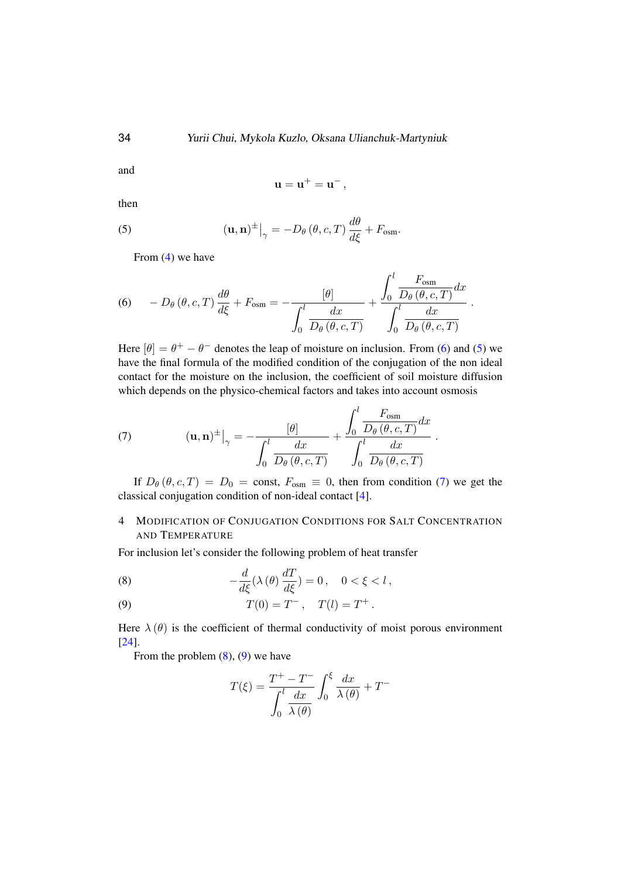and

<span id="page-6-1"></span>
$$
\mathbf{u}=\mathbf{u}^+=\mathbf{u}^- \,,
$$

then

(5) 
$$
(\mathbf{u}, \mathbf{n})^{\pm} \big|_{\gamma} = -D_{\theta} (\theta, c, T) \frac{d\theta}{d\xi} + F_{\text{osm}}.
$$

From [\(4\)](#page-5-1) we have

<span id="page-6-0"></span>(6) 
$$
-D_{\theta}(\theta, c, T) \frac{d\theta}{d\xi} + F_{\text{osm}} = -\frac{[\theta]}{\int_0^l \frac{dx}{D_{\theta}(\theta, c, T)}} + \frac{\int_0^l \frac{F_{\text{osm}}}{D_{\theta}(\theta, c, T)} dx}{\int_0^l \frac{dx}{D_{\theta}(\theta, c, T)}}.
$$

Here  $[\theta] = \theta^+ - \theta^-$  denotes the leap of moisture on inclusion. From [\(6\)](#page-6-0) and [\(5\)](#page-6-1) we have the final formula of the modified condition of the conjugation of the non ideal contact for the moisture on the inclusion, the coefficient of soil moisture diffusion which depends on the physico-chemical factors and takes into account osmosis

<span id="page-6-2"></span>(7) 
$$
(\mathbf{u}, \mathbf{n})^{\pm} \Big|_{\gamma} = -\frac{[\theta]}{\int_0^l \frac{dx}{D_{\theta}(\theta, c, T)}} + \frac{\int_0^l \frac{F_{\text{osm}}}{D_{\theta}(\theta, c, T)} dx}{\int_0^l \frac{dx}{D_{\theta}(\theta, c, T)}}.
$$

If  $D_{\theta}(\theta, c, T) = D_0 = \text{const}, F_{\text{osm}} \equiv 0$ , then from condition [\(7\)](#page-6-2) we get the classical conjugation condition of non-ideal contact [\[4\]](#page-8-7).

# 4 MODIFICATION OF CONJUGATION CONDITIONS FOR SALT CONCENTRATION AND TEMPERATURE

For inclusion let's consider the following problem of heat transfer

<span id="page-6-3"></span>(8) 
$$
-\frac{d}{d\xi}(\lambda(\theta)\frac{dT}{d\xi})=0, \quad 0<\xi
$$

<span id="page-6-4"></span>(9) 
$$
T(0) = T^{-}
$$
,  $T(l) = T^{+}$ .

Here  $\lambda(\theta)$  is the coefficient of thermal conductivity of moist porous environment [\[24\]](#page-10-1).

From the problem  $(8)$ ,  $(9)$  we have

$$
T(\xi) = \frac{T^+ - T^-}{\int_0^l \frac{dx}{\lambda(\theta)}} \int_0^{\xi} \frac{dx}{\lambda(\theta)} + T^-
$$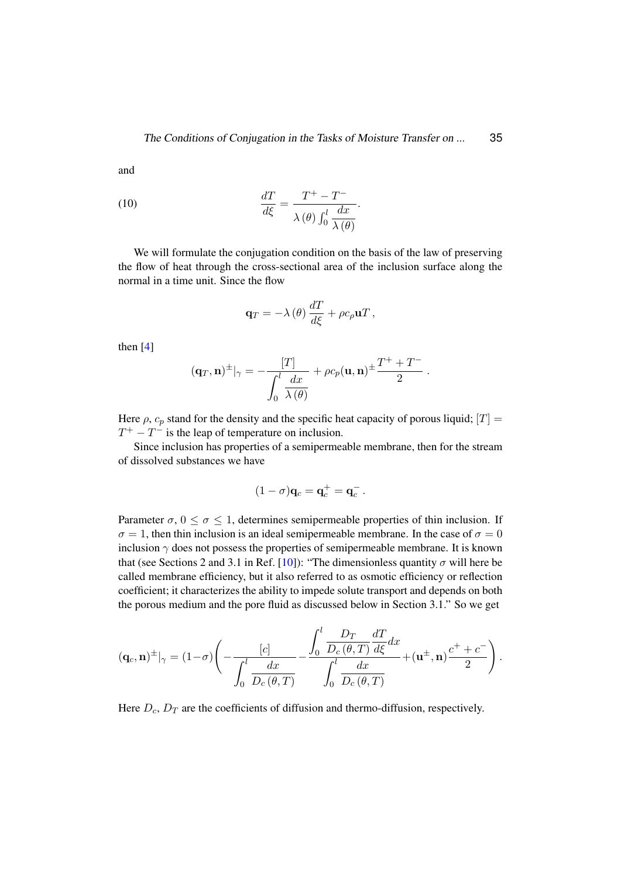and

(10) 
$$
\frac{dT}{d\xi} = \frac{T^+ - T^-}{\lambda(\theta) \int_0^l \frac{dx}{\lambda(\theta)}}.
$$

We will formulate the conjugation condition on the basis of the law of preserving the flow of heat through the cross-sectional area of the inclusion surface along the normal in a time unit. Since the flow

$$
\mathbf{q}_T = -\lambda(\theta) \frac{dT}{d\xi} + \rho c_\rho \mathbf{u} T,
$$

then [\[4\]](#page-8-7)

$$
(\mathbf{q}_T, \mathbf{n})^{\pm}|_{\gamma} = -\frac{[T]}{\int_0^l \frac{dx}{\lambda(\theta)}} + \rho c_p(\mathbf{u}, \mathbf{n})^{\pm} \frac{T^+ + T^-}{2}.
$$

Here  $\rho$ ,  $c_p$  stand for the density and the specific heat capacity of porous liquid;  $|T| =$  $T^+ - T^-$  is the leap of temperature on inclusion.

Since inclusion has properties of a semipermeable membrane, then for the stream of dissolved substances we have

$$
(1-\sigma)\mathbf{q}_c = \mathbf{q}_c^+ = \mathbf{q}_c^-.
$$

Parameter  $\sigma$ ,  $0 \le \sigma \le 1$ , determines semipermeable properties of thin inclusion. If  $\sigma = 1$ , then thin inclusion is an ideal semipermeable membrane. In the case of  $\sigma = 0$ inclusion  $\gamma$  does not possess the properties of semipermeable membrane. It is known that (see Sections 2 and 3.1 in Ref. [\[10\]](#page-9-1)): "The dimensionless quantity  $\sigma$  will here be called membrane efficiency, but it also referred to as osmotic efficiency or reflection coefficient; it characterizes the ability to impede solute transport and depends on both the porous medium and the pore fluid as discussed below in Section 3.1." So we get

$$
(\mathbf{q}_c, \mathbf{n})^{\pm}|_{\gamma} = (1-\sigma) \Bigg( -\frac{[c]}{\int_0^l \frac{dx}{D_c(\theta, T)}} - \frac{\int_0^l \frac{D_T}{D_c(\theta, T)} \frac{dT}{d\xi} dx}{\int_0^l \frac{dx}{D_c(\theta, T)}} + (\mathbf{u}^{\pm}, \mathbf{n}) \frac{c^+ + c^-}{2} \Bigg) .
$$

Here  $D_c$ ,  $D_T$  are the coefficients of diffusion and thermo-diffusion, respectively.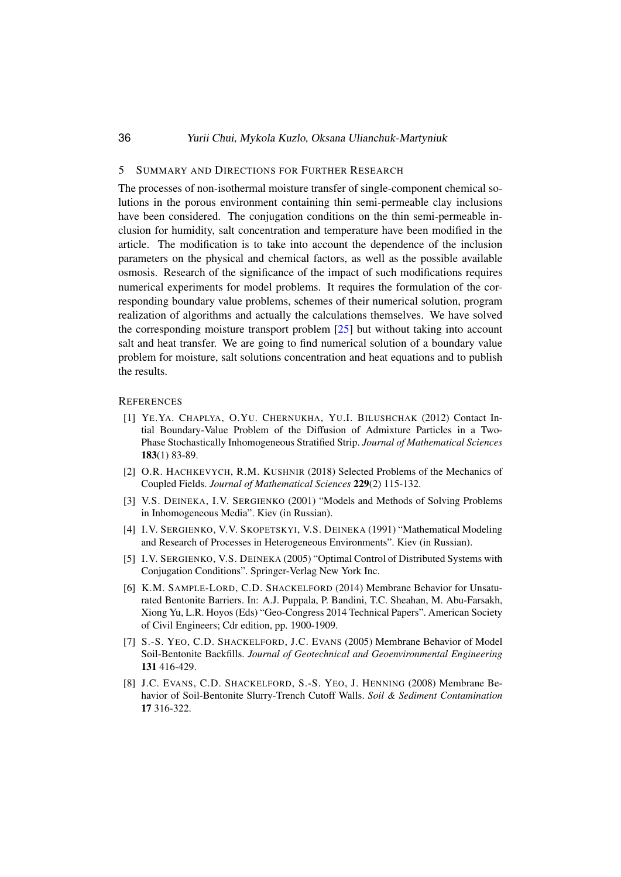### 36 Yurii Chui, Mykola Kuzlo, Oksana Ulianchuk-Martyniuk

### 5 SUMMARY AND DIRECTIONS FOR FURTHER RESEARCH

The processes of non-isothermal moisture transfer of single-component chemical solutions in the porous environment containing thin semi-permeable clay inclusions have been considered. The conjugation conditions on the thin semi-permeable inclusion for humidity, salt concentration and temperature have been modified in the article. The modification is to take into account the dependence of the inclusion parameters on the physical and chemical factors, as well as the possible available osmosis. Research of the significance of the impact of such modifications requires numerical experiments for model problems. It requires the formulation of the corresponding boundary value problems, schemes of their numerical solution, program realization of algorithms and actually the calculations themselves. We have solved the corresponding moisture transport problem [\[25\]](#page-10-2) but without taking into account salt and heat transfer. We are going to find numerical solution of a boundary value problem for moisture, salt solutions concentration and heat equations and to publish the results.

### <span id="page-8-0"></span>**REFERENCES**

- [1] YE.YA. CHAPLYA, O.YU. CHERNUKHA, YU.I. BILUSHCHAK (2012) Contact Intial Boundary-Value Problem of the Diffusion of Admixture Particles in a Two-Phase Stochastically Inhomogeneous Stratified Strip. *Journal of Mathematical Sciences* 183(1) 83-89.
- <span id="page-8-1"></span>[2] O.R. HACHKEVYCH, R.M. KUSHNIR (2018) Selected Problems of the Mechanics of Coupled Fields. *Journal of Mathematical Sciences* 229(2) 115-132.
- <span id="page-8-2"></span>[3] V.S. DEINEKA, I.V. SERGIENKO (2001) "Models and Methods of Solving Problems in Inhomogeneous Media". Kiev (in Russian).
- <span id="page-8-7"></span>[4] I.V. SERGIENKO, V.V. SKOPETSKYI, V.S. DEINEKA (1991) "Mathematical Modeling and Research of Processes in Heterogeneous Environments". Kiev (in Russian).
- <span id="page-8-3"></span>[5] I.V. SERGIENKO, V.S. DEINEKA (2005) "Optimal Control of Distributed Systems with Conjugation Conditions". Springer-Verlag New York Inc.
- <span id="page-8-4"></span>[6] K.M. SAMPLE-LORD, C.D. SHACKELFORD (2014) Membrane Behavior for Unsaturated Bentonite Barriers. In: A.J. Puppala, P. Bandini, T.C. Sheahan, M. Abu-Farsakh, Xiong Yu, L.R. Hoyos (Eds) "Geo-Congress 2014 Technical Papers". American Society of Civil Engineers; Cdr edition, pp. 1900-1909.
- <span id="page-8-5"></span>[7] S.-S. YEO, C.D. SHACKELFORD, J.C. EVANS (2005) Membrane Behavior of Model Soil-Bentonite Backfills. *Journal of Geotechnical and Geoenvironmental Engineering* 131 416-429.
- <span id="page-8-6"></span>[8] J.C. EVANS, C.D. SHACKELFORD, S.-S. YEO, J. HENNING (2008) Membrane Behavior of Soil-Bentonite Slurry-Trench Cutoff Walls. *Soil & Sediment Contamination* 17 316-322.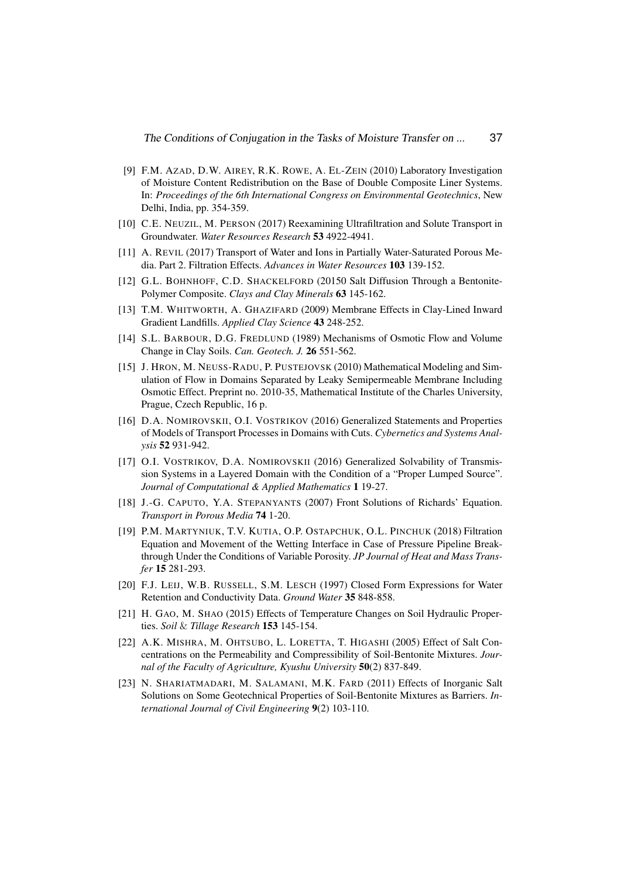- <span id="page-9-0"></span>[9] F.M. AZAD, D.W. AIREY, R.K. ROWE, A. EL-ZEIN (2010) Laboratory Investigation of Moisture Content Redistribution on the Base of Double Composite Liner Systems. In: *Proceedings of the 6th International Congress on Environmental Geotechnics*, New Delhi, India, pp. 354-359.
- <span id="page-9-1"></span>[10] C.E. NEUZIL, M. PERSON (2017) Reexamining Ultrafiltration and Solute Transport in Groundwater. *Water Resources Research* 53 4922-4941.
- <span id="page-9-2"></span>[11] A. REVIL (2017) Transport of Water and Ions in Partially Water-Saturated Porous Media. Part 2. Filtration Effects. *Advances in Water Resources* 103 139-152.
- <span id="page-9-3"></span>[12] G.L. BOHNHOFF, C.D. SHACKELFORD (20150 Salt Diffusion Through a Bentonite-Polymer Composite. *Clays and Clay Minerals* 63 145-162.
- <span id="page-9-4"></span>[13] T.M. WHITWORTH, A. GHAZIFARD (2009) Membrane Effects in Clay-Lined Inward Gradient Landfills. *Applied Clay Science* 43 248-252.
- <span id="page-9-5"></span>[14] S.L. BARBOUR, D.G. FREDLUND (1989) Mechanisms of Osmotic Flow and Volume Change in Clay Soils. *Can. Geotech. J.* 26 551-562.
- <span id="page-9-6"></span>[15] J. HRON, M. NEUSS-RADU, P. PUSTEJOVSK (2010) Mathematical Modeling and Simulation of Flow in Domains Separated by Leaky Semipermeable Membrane Including Osmotic Effect. Preprint no. 2010-35, Mathematical Institute of the Charles University, Prague, Czech Republic, 16 p.
- <span id="page-9-7"></span>[16] D.A. NOMIROVSKII, O.I. VOSTRIKOV (2016) Generalized Statements and Properties of Models of Transport Processes in Domains with Cuts. *Cybernetics and Systems Analysis* 52 931-942.
- <span id="page-9-8"></span>[17] O.I. VOSTRIKOV, D.A. NOMIROVSKII (2016) Generalized Solvability of Transmission Systems in a Layered Domain with the Condition of a "Proper Lumped Source". *Journal of Computational & Applied Mathematics* 1 19-27.
- <span id="page-9-9"></span>[18] J.-G. CAPUTO, Y.A. STEPANYANTS (2007) Front Solutions of Richards' Equation. *Transport in Porous Media* 74 1-20.
- <span id="page-9-10"></span>[19] P.M. MARTYNIUK, T.V. KUTIA, O.P. OSTAPCHUK, O.L. PINCHUK (2018) Filtration Equation and Movement of the Wetting Interface in Case of Pressure Pipeline Breakthrough Under the Conditions of Variable Porosity. *JP Journal of Heat and Mass Transfer* 15 281-293.
- <span id="page-9-11"></span>[20] F.J. LEIJ, W.B. RUSSELL, S.M. LESCH (1997) Closed Form Expressions for Water Retention and Conductivity Data. *Ground Water* 35 848-858.
- <span id="page-9-12"></span>[21] H. GAO, M. SHAO (2015) Effects of Temperature Changes on Soil Hydraulic Properties. *Soil* & *Tillage Research* 153 145-154.
- <span id="page-9-13"></span>[22] A.K. MISHRA, M. OHTSUBO, L. LORETTA, T. HIGASHI (2005) Effect of Salt Concentrations on the Permeability and Compressibility of Soil-Bentonite Mixtures. *Journal of the Faculty of Agriculture, Kyushu University* 50(2) 837-849.
- <span id="page-9-14"></span>[23] N. SHARIATMADARI, M. SALAMANI, M.K. FARD (2011) Effects of Inorganic Salt Solutions on Some Geotechnical Properties of Soil-Bentonite Mixtures as Barriers. *International Journal of Civil Engineering* 9(2) 103-110.